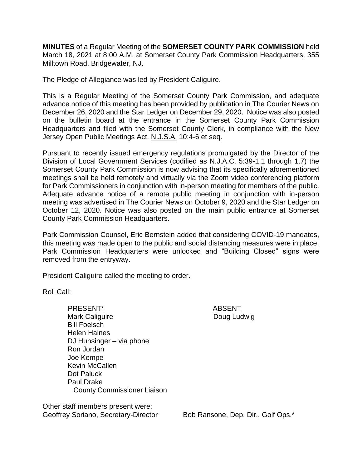**MINUTES** of a Regular Meeting of the **SOMERSET COUNTY PARK COMMISSION** held March 18, 2021 at 8:00 A.M. at Somerset County Park Commission Headquarters, 355 Milltown Road, Bridgewater, NJ.

The Pledge of Allegiance was led by President Caliguire.

This is a Regular Meeting of the Somerset County Park Commission, and adequate advance notice of this meeting has been provided by publication in The Courier News on December 26, 2020 and the Star Ledger on December 29, 2020. Notice was also posted on the bulletin board at the entrance in the Somerset County Park Commission Headquarters and filed with the Somerset County Clerk, in compliance with the New Jersey Open Public Meetings Act, N.J.S.A. 10:4-6 et seq.

Pursuant to recently issued emergency regulations promulgated by the Director of the Division of Local Government Services (codified as N.J.A.C. 5:39-1.1 through 1.7) the Somerset County Park Commission is now advising that its specifically aforementioned meetings shall be held remotely and virtually via the Zoom video conferencing platform for Park Commissioners in conjunction with in-person meeting for members of the public. Adequate advance notice of a remote public meeting in conjunction with in-person meeting was advertised in The Courier News on October 9, 2020 and the Star Ledger on October 12, 2020. Notice was also posted on the main public entrance at Somerset County Park Commission Headquarters.

Park Commission Counsel, Eric Bernstein added that considering COVID-19 mandates, this meeting was made open to the public and social distancing measures were in place. Park Commission Headquarters were unlocked and "Building Closed" signs were removed from the entryway.

President Caliguire called the meeting to order.

Roll Call:

PRESENT\* ABSENT Mark Caliguire Bill Foelsch Helen Haines DJ Hunsinger – via phone Ron Jordan Joe Kempe Kevin McCallen Dot Paluck Paul Drake County Commissioner Liaison

Doug Ludwig

Other staff members present were: Geoffrey Soriano, Secretary-Director Bob Ransone, Dep. Dir., Golf Ops.\*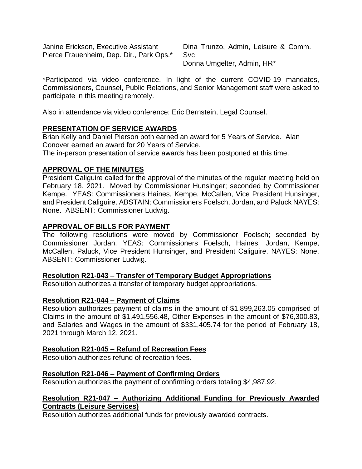Janine Erickson, Executive Assistant Pierce Frauenheim, Dep. Dir., Park Ops.\* Dina Trunzo, Admin, Leisure & Comm. Svc Donna Umgelter, Admin, HR\*

\*Participated via video conference. In light of the current COVID-19 mandates, Commissioners, Counsel, Public Relations, and Senior Management staff were asked to participate in this meeting remotely.

Also in attendance via video conference: Eric Bernstein, Legal Counsel.

## **PRESENTATION OF SERVICE AWARDS**

Brian Kelly and Daniel Pierson both earned an award for 5 Years of Service. Alan Conover earned an award for 20 Years of Service.

The in-person presentation of service awards has been postponed at this time.

### **APPROVAL OF THE MINUTES**

President Caliguire called for the approval of the minutes of the regular meeting held on February 18, 2021. Moved by Commissioner Hunsinger; seconded by Commissioner Kempe. YEAS: Commissioners Haines, Kempe, McCallen, Vice President Hunsinger, and President Caliguire. ABSTAIN: Commissioners Foelsch, Jordan, and Paluck NAYES: None. ABSENT: Commissioner Ludwig.

### **APPROVAL OF BILLS FOR PAYMENT**

The following resolutions were moved by Commissioner Foelsch; seconded by Commissioner Jordan. YEAS: Commissioners Foelsch, Haines, Jordan, Kempe, McCallen, Paluck, Vice President Hunsinger, and President Caliguire. NAYES: None. ABSENT: Commissioner Ludwig.

### **Resolution R21-043 – Transfer of Temporary Budget Appropriations**

Resolution authorizes a transfer of temporary budget appropriations.

### **Resolution R21-044 – Payment of Claims**

Resolution authorizes payment of claims in the amount of \$1,899,263.05 comprised of Claims in the amount of \$1,491,556.48, Other Expenses in the amount of \$76,300.83, and Salaries and Wages in the amount of \$331,405.74 for the period of February 18, 2021 through March 12, 2021.

### **Resolution R21-045 – Refund of Recreation Fees**

Resolution authorizes refund of recreation fees.

### **Resolution R21-046 – Payment of Confirming Orders**

Resolution authorizes the payment of confirming orders totaling \$4,987.92.

### **Resolution R21-047 – Authorizing Additional Funding for Previously Awarded Contracts (Leisure Services)**

Resolution authorizes additional funds for previously awarded contracts.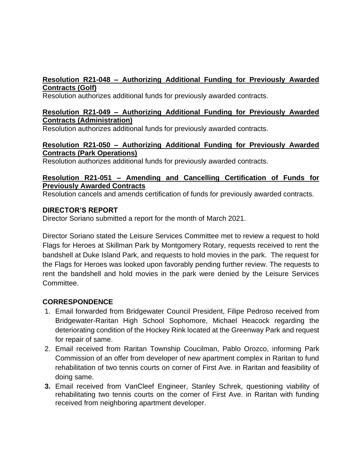# **Resolution R21-048 – Authorizing Additional Funding for Previously Awarded Contracts (Golf)**

Resolution authorizes additional funds for previously awarded contracts.

### **Resolution R21-049 – Authorizing Additional Funding for Previously Awarded Contracts (Administration)**

Resolution authorizes additional funds for previously awarded contracts.

# **Resolution R21-050 – Authorizing Additional Funding for Previously Awarded Contracts (Park Operations)**

Resolution authorizes additional funds for previously awarded contracts.

# **Resolution R21-051 – Amending and Cancelling Certification of Funds for Previously Awarded Contracts**

Resolution cancels and amends certification of funds for previously awarded contracts.

# **DIRECTOR'S REPORT**

Director Soriano submitted a report for the month of March 2021.

Director Soriano stated the Leisure Services Committee met to review a request to hold Flags for Heroes at Skillman Park by Montgomery Rotary, requests received to rent the bandshell at Duke Island Park, and requests to hold movies in the park. The request for the Flags for Heroes was looked upon favorably pending further review. The requests to rent the bandshell and hold movies in the park were denied by the Leisure Services Committee.

# **CORRESPONDENCE**

- 1. Email forwarded from Bridgewater Council President, Filipe Pedroso received from Bridgewater-Raritan High School Sophomore, Michael Heacock regarding the deteriorating condition of the Hockey Rink located at the Greenway Park and request for repair of same.
- 2. Email received from Raritan Township Coucilman, Pablo Orozco, informing Park Commission of an offer from developer of new apartment complex in Raritan to fund rehabilitation of two tennis courts on corner of First Ave. in Raritan and feasibility of doing same.
- **3.** Email received from VanCleef Engineer, Stanley Schrek, questioning viability of rehabilitating two tennis courts on the corner of First Ave. in Raritan with funding received from neighboring apartment developer.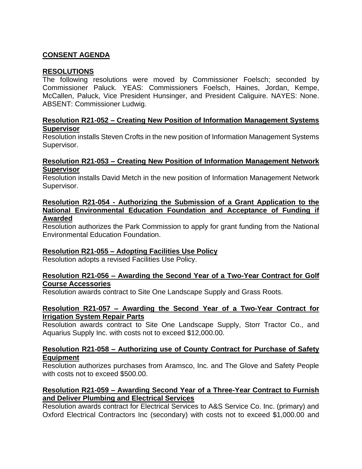# **CONSENT AGENDA**

#### **RESOLUTIONS**

The following resolutions were moved by Commissioner Foelsch; seconded by Commissioner Paluck. YEAS: Commissioners Foelsch, Haines, Jordan, Kempe, McCallen, Paluck, Vice President Hunsinger, and President Caliguire. NAYES: None. ABSENT: Commissioner Ludwig.

#### **Resolution R21-052 – Creating New Position of Information Management Systems Supervisor**

Resolution installs Steven Crofts in the new position of Information Management Systems Supervisor.

#### **Resolution R21-053 – Creating New Position of Information Management Network Supervisor**

Resolution installs David Metch in the new position of Information Management Network Supervisor.

#### **Resolution R21-054 - Authorizing the Submission of a Grant Application to the National Environmental Education Foundation and Acceptance of Funding if Awarded**

Resolution authorizes the Park Commission to apply for grant funding from the National Environmental Education Foundation.

### **Resolution R21-055 – Adopting Facilities Use Policy**

Resolution adopts a revised Facilities Use Policy.

### **Resolution R21-056 – Awarding the Second Year of a Two-Year Contract for Golf Course Accessories**

Resolution awards contract to Site One Landscape Supply and Grass Roots.

#### **Resolution R21-057 – Awarding the Second Year of a Two-Year Contract for Irrigation System Repair Parts**

Resolution awards contract to Site One Landscape Supply, Storr Tractor Co., and Aquarius Supply Inc. with costs not to exceed \$12,000.00.

#### **Resolution R21-058 – Authorizing use of County Contract for Purchase of Safety Equipment**

Resolution authorizes purchases from Aramsco, Inc. and The Glove and Safety People with costs not to exceed \$500.00.

### **Resolution R21-059 – Awarding Second Year of a Three-Year Contract to Furnish and Deliver Plumbing and Electrical Services**

Resolution awards contract for Electrical Services to A&S Service Co. Inc. (primary) and Oxford Electrical Contractors Inc (secondary) with costs not to exceed \$1,000.00 and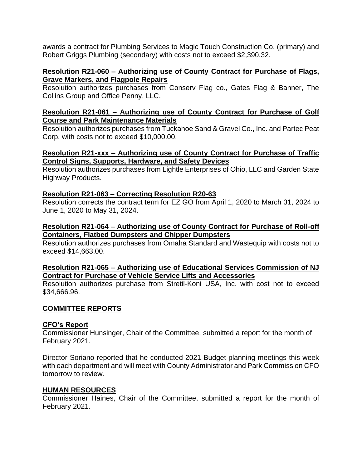awards a contract for Plumbing Services to Magic Touch Construction Co. (primary) and Robert Griggs Plumbing (secondary) with costs not to exceed \$2,390.32.

#### **Resolution R21-060 – Authorizing use of County Contract for Purchase of Flags, Grave Markers, and Flagpole Repairs**

Resolution authorizes purchases from Conserv Flag co., Gates Flag & Banner, The Collins Group and Office Penny, LLC.

#### **Resolution R21-061 – Authorizing use of County Contract for Purchase of Golf Course and Park Maintenance Materials**

Resolution authorizes purchases from Tuckahoe Sand & Gravel Co., Inc. and Partec Peat Corp. with costs not to exceed \$10,000.00.

## **Resolution R21-xxx – Authorizing use of County Contract for Purchase of Traffic Control Signs, Supports, Hardware, and Safety Devices**

Resolution authorizes purchases from Lightle Enterprises of Ohio, LLC and Garden State Highway Products.

## **Resolution R21-063 – Correcting Resolution R20-63**

Resolution corrects the contract term for EZ GO from April 1, 2020 to March 31, 2024 to June 1, 2020 to May 31, 2024.

### **Resolution R21-064 – Authorizing use of County Contract for Purchase of Roll-off Containers, Flatbed Dumpsters and Chipper Dumpsters**

Resolution authorizes purchases from Omaha Standard and Wastequip with costs not to exceed \$14,663.00.

## **Resolution R21-065 – Authorizing use of Educational Services Commission of NJ Contract for Purchase of Vehicle Service Lifts and Accessories**

Resolution authorizes purchase from Stretil-Koni USA, Inc. with cost not to exceed \$34,666.96.

### **COMMITTEE REPORTS**

### **CFO's Report**

Commissioner Hunsinger, Chair of the Committee, submitted a report for the month of February 2021.

Director Soriano reported that he conducted 2021 Budget planning meetings this week with each department and will meet with County Administrator and Park Commission CFO tomorrow to review.

### **HUMAN RESOURCES**

Commissioner Haines, Chair of the Committee, submitted a report for the month of February 2021.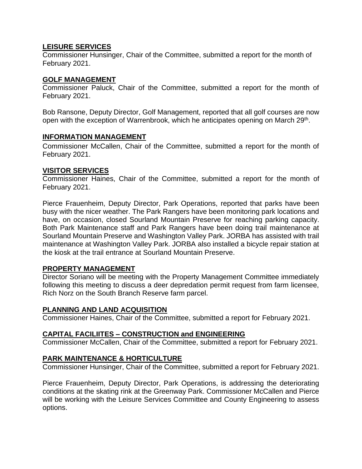### **LEISURE SERVICES**

Commissioner Hunsinger, Chair of the Committee, submitted a report for the month of February 2021.

## **GOLF MANAGEMENT**

Commissioner Paluck, Chair of the Committee, submitted a report for the month of February 2021.

Bob Ransone, Deputy Director, Golf Management, reported that all golf courses are now open with the exception of Warrenbrook, which he anticipates opening on March 29<sup>th</sup>.

## **INFORMATION MANAGEMENT**

Commissioner McCallen, Chair of the Committee, submitted a report for the month of February 2021.

## **VISITOR SERVICES**

Commissioner Haines, Chair of the Committee, submitted a report for the month of February 2021.

Pierce Frauenheim, Deputy Director, Park Operations, reported that parks have been busy with the nicer weather. The Park Rangers have been monitoring park locations and have, on occasion, closed Sourland Mountain Preserve for reaching parking capacity. Both Park Maintenance staff and Park Rangers have been doing trail maintenance at Sourland Mountain Preserve and Washington Valley Park. JORBA has assisted with trail maintenance at Washington Valley Park. JORBA also installed a bicycle repair station at the kiosk at the trail entrance at Sourland Mountain Preserve.

### **PROPERTY MANAGEMENT**

Director Soriano will be meeting with the Property Management Committee immediately following this meeting to discuss a deer depredation permit request from farm licensee, Rich Norz on the South Branch Reserve farm parcel.

# **PLANNING AND LAND ACQUISITION**

Commissioner Haines, Chair of the Committee, submitted a report for February 2021.

# **CAPITAL FACILIITES – CONSTRUCTION and ENGINEERING**

Commissioner McCallen, Chair of the Committee, submitted a report for February 2021.

# **PARK MAINTENANCE & HORTICULTURE**

Commissioner Hunsinger, Chair of the Committee, submitted a report for February 2021.

Pierce Frauenheim, Deputy Director, Park Operations, is addressing the deteriorating conditions at the skating rink at the Greenway Park. Commissioner McCallen and Pierce will be working with the Leisure Services Committee and County Engineering to assess options.